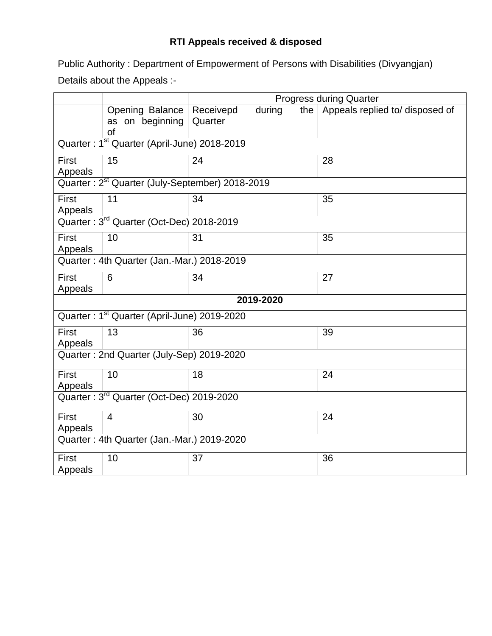## **RTI Appeals received & disposed**

Public Authority : Department of Empowerment of Persons with Disabilities (Divyangjan)

Details about the Appeals :-

|                                                             |                                                 | <b>Progress during Quarter</b> |        |  |                                       |  |
|-------------------------------------------------------------|-------------------------------------------------|--------------------------------|--------|--|---------------------------------------|--|
|                                                             | Opening Balance<br>as on beginning<br><b>of</b> | Receivepd<br>Quarter           | during |  | the   Appeals replied to/ disposed of |  |
| Quarter: 1 <sup>st</sup> Quarter (April-June) 2018-2019     |                                                 |                                |        |  |                                       |  |
| First<br>Appeals                                            | 15                                              | 24                             |        |  | 28                                    |  |
| Quarter: 2 <sup>st</sup> Quarter (July-September) 2018-2019 |                                                 |                                |        |  |                                       |  |
| <b>First</b><br>Appeals                                     | 11                                              | 34                             |        |  | 35                                    |  |
| Quarter: 3 <sup>rd</sup> Quarter (Oct-Dec) 2018-2019        |                                                 |                                |        |  |                                       |  |
| <b>First</b><br>Appeals                                     | 10                                              | 31                             |        |  | 35                                    |  |
| Quarter: 4th Quarter (Jan.-Mar.) 2018-2019                  |                                                 |                                |        |  |                                       |  |
| <b>First</b><br>Appeals                                     | 6                                               | 34                             |        |  | 27                                    |  |
| 2019-2020                                                   |                                                 |                                |        |  |                                       |  |
| Quarter: 1 <sup>st</sup> Quarter (April-June) 2019-2020     |                                                 |                                |        |  |                                       |  |
| <b>First</b><br>Appeals                                     | 13                                              | 36                             |        |  | 39                                    |  |
| Quarter: 2nd Quarter (July-Sep) 2019-2020                   |                                                 |                                |        |  |                                       |  |
| <b>First</b><br>Appeals                                     | 10                                              | 18                             |        |  | 24                                    |  |
| Quarter: 3 <sup>rd</sup> Quarter (Oct-Dec) 2019-2020        |                                                 |                                |        |  |                                       |  |
| First<br>Appeals                                            | $\overline{4}$                                  | 30                             |        |  | 24                                    |  |
| Quarter: 4th Quarter (Jan.-Mar.) 2019-2020                  |                                                 |                                |        |  |                                       |  |
| First<br>Appeals                                            | 10                                              | 37                             |        |  | 36                                    |  |